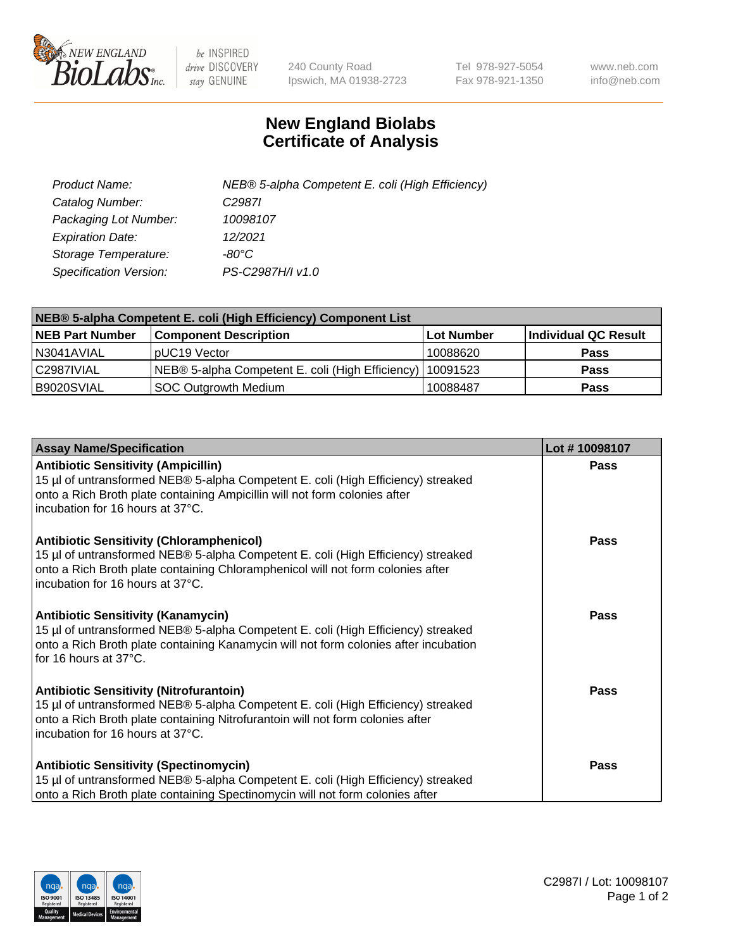

 $be$  INSPIRED drive DISCOVERY stay GENUINE

240 County Road Ipswich, MA 01938-2723 Tel 978-927-5054 Fax 978-921-1350 www.neb.com info@neb.com

## **New England Biolabs Certificate of Analysis**

| Product Name:           | NEB® 5-alpha Competent E. coli (High Efficiency) |
|-------------------------|--------------------------------------------------|
| Catalog Number:         | C <sub>2987</sub>                                |
| Packaging Lot Number:   | 10098107                                         |
| <b>Expiration Date:</b> | 12/2021                                          |
| Storage Temperature:    | -80°C                                            |
| Specification Version:  | PS-C2987H/I v1.0                                 |

| NEB® 5-alpha Competent E. coli (High Efficiency) Component List |                                                  |            |                      |  |
|-----------------------------------------------------------------|--------------------------------------------------|------------|----------------------|--|
| <b>NEB Part Number</b>                                          | <b>Component Description</b>                     | Lot Number | Individual QC Result |  |
| N3041AVIAL                                                      | pUC19 Vector                                     | 10088620   | <b>Pass</b>          |  |
| C2987IVIAL                                                      | NEB® 5-alpha Competent E. coli (High Efficiency) | 10091523   | <b>Pass</b>          |  |
| B9020SVIAL                                                      | <b>SOC Outgrowth Medium</b>                      | 10088487   | <b>Pass</b>          |  |

| <b>Assay Name/Specification</b>                                                                                                                                                                                                                            | Lot #10098107 |
|------------------------------------------------------------------------------------------------------------------------------------------------------------------------------------------------------------------------------------------------------------|---------------|
| <b>Antibiotic Sensitivity (Ampicillin)</b><br>15 µl of untransformed NEB® 5-alpha Competent E. coli (High Efficiency) streaked<br>onto a Rich Broth plate containing Ampicillin will not form colonies after<br>incubation for 16 hours at 37°C.           | Pass          |
| <b>Antibiotic Sensitivity (Chloramphenicol)</b><br>15 µl of untransformed NEB® 5-alpha Competent E. coli (High Efficiency) streaked<br>onto a Rich Broth plate containing Chloramphenicol will not form colonies after<br>incubation for 16 hours at 37°C. | Pass          |
| <b>Antibiotic Sensitivity (Kanamycin)</b><br>15 µl of untransformed NEB® 5-alpha Competent E. coli (High Efficiency) streaked<br>onto a Rich Broth plate containing Kanamycin will not form colonies after incubation<br>for 16 hours at 37°C.             | Pass          |
| <b>Antibiotic Sensitivity (Nitrofurantoin)</b><br>15 µl of untransformed NEB® 5-alpha Competent E. coli (High Efficiency) streaked<br>onto a Rich Broth plate containing Nitrofurantoin will not form colonies after<br>incubation for 16 hours at 37°C.   | <b>Pass</b>   |
| <b>Antibiotic Sensitivity (Spectinomycin)</b><br>15 µl of untransformed NEB® 5-alpha Competent E. coli (High Efficiency) streaked<br>onto a Rich Broth plate containing Spectinomycin will not form colonies after                                         | Pass          |